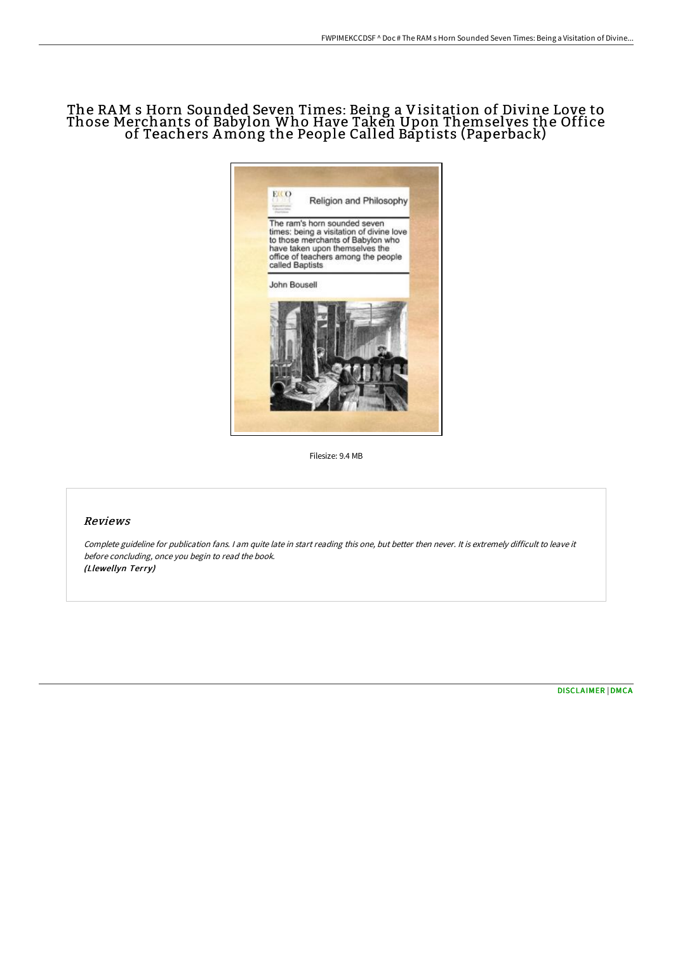## The RAM s Horn Sounded Seven Times: Being a Visitation of Divine Love to Those Merchants of Babylon Who Have Taken Upon Themselves the Office of Teachers Among the People Called Baptists (Paperback)



Filesize: 9.4 MB

## Reviews

Complete guideline for publication fans. <sup>I</sup> am quite late in start reading this one, but better then never. It is extremely difficult to leave it before concluding, once you begin to read the book. (Llewellyn Terry)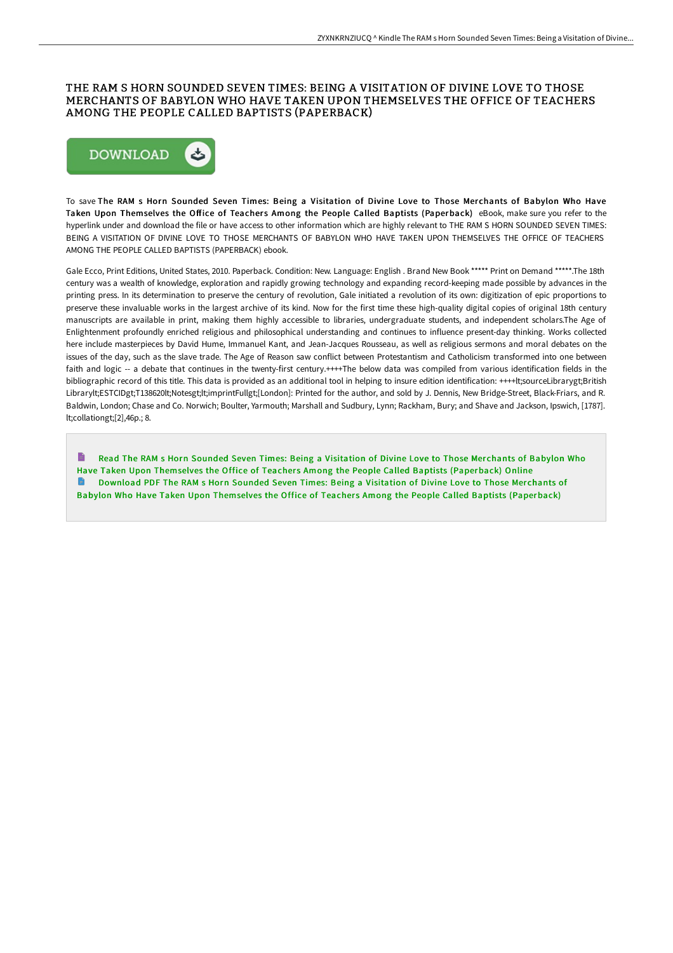## THE RAM S HORN SOUNDED SEVEN TIMES: BEING A VISITATION OF DIVINE LOVE TO THOSE MERCHANTS OF BABYLON WHO HAVE TAKEN UPON THEMSELVES THE OFFICE OF TEACHERS AMONG THE PEOPLE CALLED BAPTISTS (PAPERBACK)



To save The RAM s Horn Sounded Seven Times: Being a Visitation of Divine Love to Those Merchants of Babylon Who Have Taken Upon Themselves the Office of Teachers Among the People Called Baptists (Paperback) eBook, make sure you refer to the hyperlink under and download the file or have access to other information which are highly relevant to THE RAM S HORN SOUNDED SEVEN TIMES: BEING A VISITATION OF DIVINE LOVE TO THOSE MERCHANTS OF BABYLON WHO HAVE TAKEN UPON THEMSELVES THE OFFICE OF TEACHERS AMONG THE PEOPLE CALLED BAPTISTS (PAPERBACK) ebook.

Gale Ecco, Print Editions, United States, 2010. Paperback. Condition: New. Language: English . Brand New Book \*\*\*\*\* Print on Demand \*\*\*\*\*.The 18th century was a wealth of knowledge, exploration and rapidly growing technology and expanding record-keeping made possible by advances in the printing press. In its determination to preserve the century of revolution, Gale initiated a revolution of its own: digitization of epic proportions to preserve these invaluable works in the largest archive of its kind. Now for the first time these high-quality digital copies of original 18th century manuscripts are available in print, making them highly accessible to libraries, undergraduate students, and independent scholars.The Age of Enlightenment profoundly enriched religious and philosophical understanding and continues to influence present-day thinking. Works collected here include masterpieces by David Hume, Immanuel Kant, and Jean-Jacques Rousseau, as well as religious sermons and moral debates on the issues of the day, such as the slave trade. The Age of Reason saw conflict between Protestantism and Catholicism transformed into one between faith and logic -- a debate that continues in the twenty-first century.++++The below data was compiled from various identification fields in the bibliographic record of this title. This data is provided as an additional tool in helping to insure edition identification: ++++lt;sourceLibrarygt;British Librarylt;ESTCIDgt;T138620lt;Notesgt;lt;imprintFullgt;[London]: Printed for the author, and sold by J. Dennis, New Bridge-Street, Black-Friars, and R. Baldwin, London; Chase and Co. Norwich; Boulter, Yarmouth; Marshall and Sudbury, Lynn; Rackham, Bury; and Shave and Jackson, Ipswich, [1787]. lt;collationgt;[2],46p.; 8.

Read The RAM s Horn Sounded Seven Times: Being a Visitation of Divine Love to Those Merchants of Babylon Who Have Taken Upon Themselves the Office of Teachers Among the People Called Baptists [\(Paperback\)](http://albedo.media/the-ram-s-horn-sounded-seven-times-being-a-visit.html) Online Download PDF The RAM s Horn Sounded Seven Times: Being a Visitation of Divine Love to Those Merchants of Babylon Who Have Taken Upon Themselves the Office of Teachers Among the People Called Baptists [\(Paperback\)](http://albedo.media/the-ram-s-horn-sounded-seven-times-being-a-visit.html)